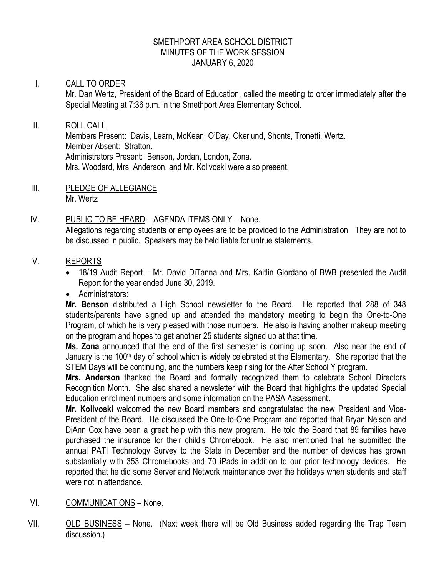#### SMETHPORT AREA SCHOOL DISTRICT MINUTES OF THE WORK SESSION JANUARY 6, 2020

## I. CALL TO ORDER

Mr. Dan Wertz, President of the Board of Education, called the meeting to order immediately after the Special Meeting at 7:36 p.m. in the Smethport Area Elementary School.

#### II. ROLL CALL

Members Present: Davis, Learn, McKean, O'Day, Okerlund, Shonts, Tronetti, Wertz. Member Absent: Stratton. Administrators Present: Benson, Jordan, London, Zona. Mrs. Woodard, Mrs. Anderson, and Mr. Kolivoski were also present.

III. PLEDGE OF ALLEGIANCE Mr. Wertz

## IV. PUBLIC TO BE HEARD – AGENDA ITEMS ONLY – None.

Allegations regarding students or employees are to be provided to the Administration. They are not to be discussed in public. Speakers may be held liable for untrue statements.

## V. REPORTS

- 18/19 Audit Report Mr. David DiTanna and Mrs. Kaitlin Giordano of BWB presented the Audit Report for the year ended June 30, 2019.
- Administrators:

**Mr. Benson** distributed a High School newsletter to the Board. He reported that 288 of 348 students/parents have signed up and attended the mandatory meeting to begin the One-to-One Program, of which he is very pleased with those numbers. He also is having another makeup meeting on the program and hopes to get another 25 students signed up at that time.

**Ms. Zona** announced that the end of the first semester is coming up soon. Also near the end of January is the 100<sup>th</sup> day of school which is widely celebrated at the Elementary. She reported that the STEM Days will be continuing, and the numbers keep rising for the After School Y program.

**Mrs. Anderson** thanked the Board and formally recognized them to celebrate School Directors Recognition Month. She also shared a newsletter with the Board that highlights the updated Special Education enrollment numbers and some information on the PASA Assessment.

**Mr. Kolivoski** welcomed the new Board members and congratulated the new President and Vice-President of the Board. He discussed the One-to-One Program and reported that Bryan Nelson and DiAnn Cox have been a great help with this new program. He told the Board that 89 families have purchased the insurance for their child's Chromebook. He also mentioned that he submitted the annual PATI Technology Survey to the State in December and the number of devices has grown substantially with 353 Chromebooks and 70 iPads in addition to our prior technology devices. He reported that he did some Server and Network maintenance over the holidays when students and staff were not in attendance.

- VI. COMMUNICATIONS None.
- VII. OLD BUSINESS None. (Next week there will be Old Business added regarding the Trap Team discussion.)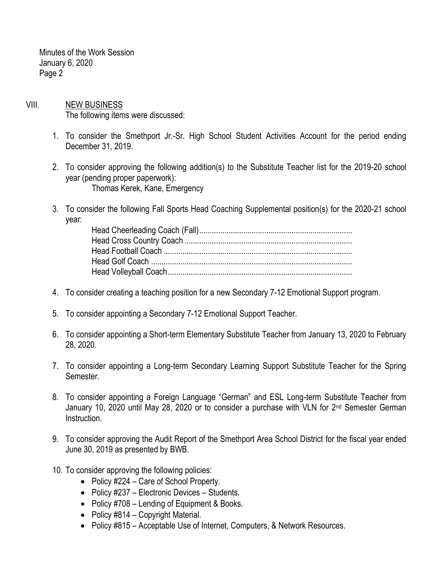Minutes of the Work Session January 6, 2020 Page 2

- VIII. NEW BUSINESS The following items were discussed:
	- 1. To consider the Smethport Jr.-Sr. High School Student Activities Account for the period ending December 31, 2019.
	- 2. To consider approving the following addition(s) to the Substitute Teacher list for the 2019-20 school year (pending proper paperwork): Thomas Kerek, Kane, Emergency
	- 3. To consider the following Fall Sports Head Coaching Supplemental position(s) for the 2020-21 school year:

- 4. To consider creating a teaching position for a new Secondary 7-12 Emotional Support program.
- 5. To consider appointing a Secondary 7-12 Emotional Support Teacher.
- 6. To consider appointing a Short-term Elementary Substitute Teacher from January 13, 2020 to February 28, 2020.
- 7. To consider appointing a Long-term Secondary Learning Support Substitute Teacher for the Spring Semester.
- 8. To consider appointing a Foreign Language "German" and ESL Long-term Substitute Teacher from January 10, 2020 until May 28, 2020 or to consider a purchase with VLN for 2<sup>nd</sup> Semester German Instruction.
- 9. To consider approving the Audit Report of the Smethport Area School District for the fiscal year ended June 30, 2019 as presented by BWB.
- 10. To consider approving the following policies:
	- Policy #224 Care of School Property.
	- Policy #237 Electronic Devices Students.
	- Policy #708 Lending of Equipment & Books.
	- Policy #814 Copyright Material.
	- Policy #815 Acceptable Use of Internet, Computers, & Network Resources.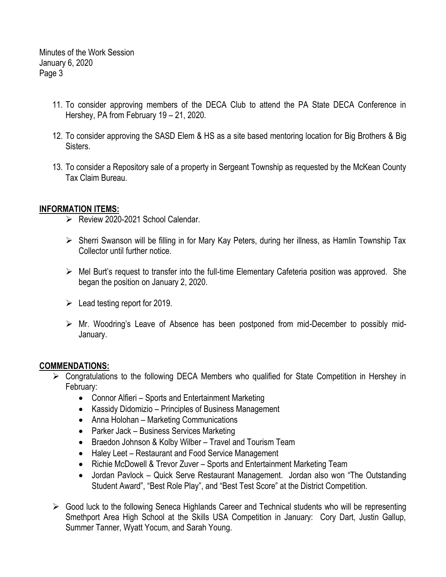Minutes of the Work Session January 6, 2020 Page 3

- 11. To consider approving members of the DECA Club to attend the PA State DECA Conference in Hershey, PA from February 19 – 21, 2020.
- 12. To consider approving the SASD Elem & HS as a site based mentoring location for Big Brothers & Big Sisters.
- 13. To consider a Repository sale of a property in Sergeant Township as requested by the McKean County Tax Claim Bureau.

## **INFORMATION ITEMS:**

- P Review 2020-2021 School Calendar.
- $\triangleright$  Sherri Swanson will be filling in for Mary Kay Peters, during her illness, as Hamlin Township Tax Collector until further notice.
- $\triangleright$  Mel Burt's request to transfer into the full-time Elementary Cafeteria position was approved. She began the position on January 2, 2020.
- $\geq$  Lead testing report for 2019.
- $\triangleright$  Mr. Woodring's Leave of Absence has been postponed from mid-December to possibly mid-January.

# **COMMENDATIONS:**

- $\triangleright$  Congratulations to the following DECA Members who qualified for State Competition in Hershey in February:
	- Connor Alfieri Sports and Entertainment Marketing
	- Kassidy Didomizio Principles of Business Management
	- Anna Holohan Marketing Communications
	- Parker Jack Business Services Marketing
	- Braedon Johnson & Kolby Wilber Travel and Tourism Team
	- Haley Leet Restaurant and Food Service Management
	- Richie McDowell & Trevor Zuver Sports and Entertainment Marketing Team
	- Jordan Pavlock Quick Serve Restaurant Management. Jordan also won "The Outstanding Student Award", "Best Role Play", and "Best Test Score" at the District Competition.
- $\triangleright$  Good luck to the following Seneca Highlands Career and Technical students who will be representing Smethport Area High School at the Skills USA Competition in January: Cory Dart, Justin Gallup, Summer Tanner, Wyatt Yocum, and Sarah Young.